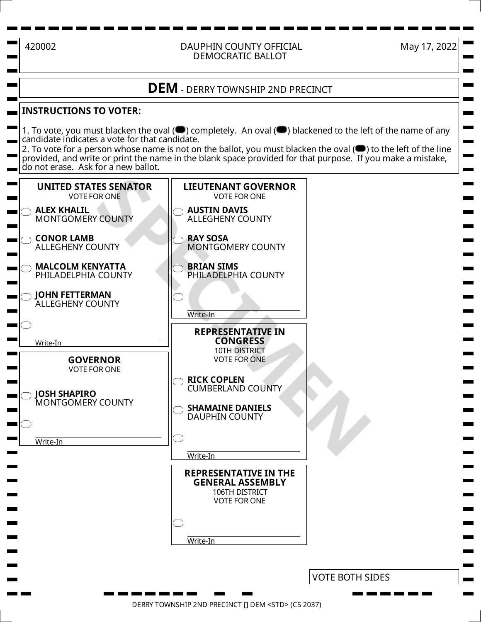## 420002 DAUPHIN COUNTY OFFICIAL DEMOCRATIC BALLOT

May 17, 2022

## **DEM** - DERRY TOWNSHIP 2ND PRECINCT

## **INSTRUCTIONS TO VOTER:**

1. To vote, you must blacken the oval ( $\bullet$ ) completely. An oval ( $\bullet$ ) blackened to the left of the name of any candidate indicates a vote for that candidate.

2. To vote for a person whose name is not on the ballot, you must blacken the oval  $($ **)** to the left of the line provided, and write or print the name in the blank space provided for that purpose. If you make a mistake, do not erase. Ask for a new ballot.



VOTE BOTH SIDES